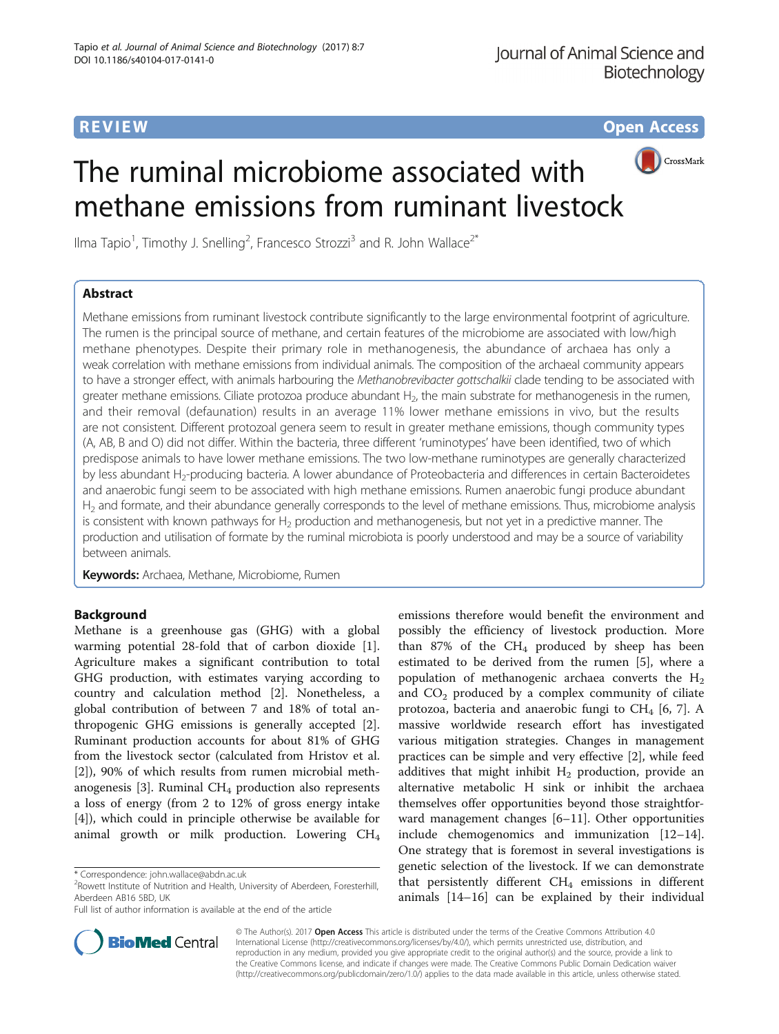**REVIEW CONSTRUCTION CONSTRUCTION CONSTRUCTS** 

CrossMark

# The ruminal microbiome associated with methane emissions from ruminant livestock

Ilma Tapio<sup>1</sup>, Timothy J. Snelling<sup>2</sup>, Francesco Strozzi<sup>3</sup> and R. John Wallace<sup>2\*</sup>

# Abstract

Methane emissions from ruminant livestock contribute significantly to the large environmental footprint of agriculture. The rumen is the principal source of methane, and certain features of the microbiome are associated with low/high methane phenotypes. Despite their primary role in methanogenesis, the abundance of archaea has only a weak correlation with methane emissions from individual animals. The composition of the archaeal community appears to have a stronger effect, with animals harbouring the Methanobrevibacter gottschalkii clade tending to be associated with greater methane emissions. Ciliate protozoa produce abundant  $H<sub>2</sub>$ , the main substrate for methanogenesis in the rumen, and their removal (defaunation) results in an average 11% lower methane emissions in vivo, but the results are not consistent. Different protozoal genera seem to result in greater methane emissions, though community types (A, AB, B and O) did not differ. Within the bacteria, three different 'ruminotypes' have been identified, two of which predispose animals to have lower methane emissions. The two low-methane ruminotypes are generally characterized by less abundant H<sub>2</sub>-producing bacteria. A lower abundance of Proteobacteria and differences in certain Bacteroidetes and anaerobic fungi seem to be associated with high methane emissions. Rumen anaerobic fungi produce abundant H<sub>2</sub> and formate, and their abundance generally corresponds to the level of methane emissions. Thus, microbiome analysis is consistent with known pathways for  $H_2$  production and methanogenesis, but not yet in a predictive manner. The production and utilisation of formate by the ruminal microbiota is poorly understood and may be a source of variability between animals.

**Keywords:** Archaea, Methane, Microbiome, Rumen

# Background

Methane is a greenhouse gas (GHG) with a global warming potential 28-fold that of carbon dioxide [\[1](#page-7-0)]. Agriculture makes a significant contribution to total GHG production, with estimates varying according to country and calculation method [[2\]](#page-7-0). Nonetheless, a global contribution of between 7 and 18% of total anthropogenic GHG emissions is generally accepted [\[2](#page-7-0)]. Ruminant production accounts for about 81% of GHG from the livestock sector (calculated from Hristov et al. [[2\]](#page-7-0)), 90% of which results from rumen microbial meth-anogenesis [\[3](#page-7-0)]. Ruminal  $CH_4$  production also represents a loss of energy (from 2 to 12% of gross energy intake [[4\]](#page-7-0)), which could in principle otherwise be available for animal growth or milk production. Lowering CH4

emissions therefore would benefit the environment and possibly the efficiency of livestock production. More than 87% of the  $CH_4$  produced by sheep has been estimated to be derived from the rumen [\[5](#page-8-0)], where a population of methanogenic archaea converts the  $H_2$ and  $CO<sub>2</sub>$  produced by a complex community of ciliate protozoa, bacteria and anaerobic fungi to  $CH_4$  [[6, 7](#page-8-0)]. A massive worldwide research effort has investigated various mitigation strategies. Changes in management practices can be simple and very effective [\[2](#page-7-0)], while feed additives that might inhibit  $H_2$  production, provide an alternative metabolic H sink or inhibit the archaea themselves offer opportunities beyond those straightforward management changes [\[6](#page-8-0)–[11](#page-8-0)]. Other opportunities include chemogenomics and immunization [[12](#page-8-0)–[14](#page-8-0)]. One strategy that is foremost in several investigations is genetic selection of the livestock. If we can demonstrate that persistently different  $CH_4$  emissions in different animals [[14](#page-8-0)–[16](#page-8-0)] can be explained by their individual



© The Author(s). 2017 **Open Access** This article is distributed under the terms of the Creative Commons Attribution 4.0 International License [\(http://creativecommons.org/licenses/by/4.0/](http://creativecommons.org/licenses/by/4.0/)), which permits unrestricted use, distribution, and reproduction in any medium, provided you give appropriate credit to the original author(s) and the source, provide a link to the Creative Commons license, and indicate if changes were made. The Creative Commons Public Domain Dedication waiver [\(http://creativecommons.org/publicdomain/zero/1.0/](http://creativecommons.org/publicdomain/zero/1.0/)) applies to the data made available in this article, unless otherwise stated.

<sup>\*</sup> Correspondence: [john.wallace@abdn.ac.uk](mailto:john.wallace@abdn.ac.uk) <sup>2</sup>

<sup>&</sup>lt;sup>2</sup>Rowett Institute of Nutrition and Health, University of Aberdeen, Foresterhill, Aberdeen AB16 5BD, UK

Full list of author information is available at the end of the article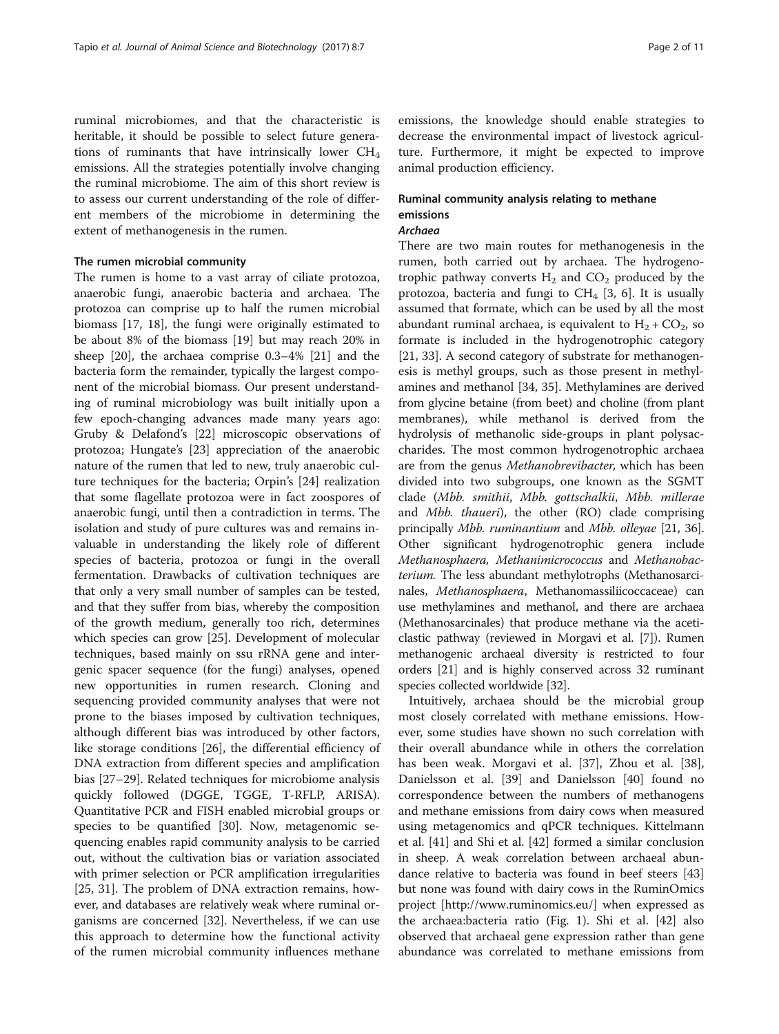ruminal microbiomes, and that the characteristic is heritable, it should be possible to select future generations of ruminants that have intrinsically lower  $CH<sub>4</sub>$ emissions. All the strategies potentially involve changing the ruminal microbiome. The aim of this short review is to assess our current understanding of the role of different members of the microbiome in determining the extent of methanogenesis in the rumen.

# The rumen microbial community

The rumen is home to a vast array of ciliate protozoa, anaerobic fungi, anaerobic bacteria and archaea. The protozoa can comprise up to half the rumen microbial biomass [[17, 18\]](#page-8-0), the fungi were originally estimated to be about 8% of the biomass [\[19\]](#page-8-0) but may reach 20% in sheep [[20](#page-8-0)], the archaea comprise 0.3–4% [\[21](#page-8-0)] and the bacteria form the remainder, typically the largest component of the microbial biomass. Our present understanding of ruminal microbiology was built initially upon a few epoch-changing advances made many years ago: Gruby & Delafond's [[22\]](#page-8-0) microscopic observations of protozoa; Hungate's [[23](#page-8-0)] appreciation of the anaerobic nature of the rumen that led to new, truly anaerobic culture techniques for the bacteria; Orpin's [\[24\]](#page-8-0) realization that some flagellate protozoa were in fact zoospores of anaerobic fungi, until then a contradiction in terms. The isolation and study of pure cultures was and remains invaluable in understanding the likely role of different species of bacteria, protozoa or fungi in the overall fermentation. Drawbacks of cultivation techniques are that only a very small number of samples can be tested, and that they suffer from bias, whereby the composition of the growth medium, generally too rich, determines which species can grow [[25](#page-8-0)]. Development of molecular techniques, based mainly on ssu rRNA gene and intergenic spacer sequence (for the fungi) analyses, opened new opportunities in rumen research. Cloning and sequencing provided community analyses that were not prone to the biases imposed by cultivation techniques, although different bias was introduced by other factors, like storage conditions [\[26](#page-8-0)], the differential efficiency of DNA extraction from different species and amplification bias [[27](#page-8-0)–[29](#page-8-0)]. Related techniques for microbiome analysis quickly followed (DGGE, TGGE, T-RFLP, ARISA). Quantitative PCR and FISH enabled microbial groups or species to be quantified [\[30\]](#page-8-0). Now, metagenomic sequencing enables rapid community analysis to be carried out, without the cultivation bias or variation associated with primer selection or PCR amplification irregularities [[25, 31\]](#page-8-0). The problem of DNA extraction remains, however, and databases are relatively weak where ruminal organisms are concerned [[32](#page-8-0)]. Nevertheless, if we can use this approach to determine how the functional activity of the rumen microbial community influences methane emissions, the knowledge should enable strategies to decrease the environmental impact of livestock agriculture. Furthermore, it might be expected to improve animal production efficiency.

# Ruminal community analysis relating to methane emissions

# Archaea

There are two main routes for methanogenesis in the rumen, both carried out by archaea. The hydrogenotrophic pathway converts  $H_2$  and  $CO_2$  produced by the protozoa, bacteria and fungi to  $CH_4$  [\[3](#page-7-0), [6](#page-8-0)]. It is usually assumed that formate, which can be used by all the most abundant ruminal archaea, is equivalent to  $H_2 + CO_2$ , so formate is included in the hydrogenotrophic category [[21, 33\]](#page-8-0). A second category of substrate for methanogenesis is methyl groups, such as those present in methylamines and methanol [\[34](#page-8-0), [35](#page-8-0)]. Methylamines are derived from glycine betaine (from beet) and choline (from plant membranes), while methanol is derived from the hydrolysis of methanolic side-groups in plant polysaccharides. The most common hydrogenotrophic archaea are from the genus Methanobrevibacter, which has been divided into two subgroups, one known as the SGMT clade (Mbb. smithii, Mbb. gottschalkii, Mbb. millerae and Mbb. thaueri), the other (RO) clade comprising principally Mbb. ruminantium and Mbb. olleyae [\[21](#page-8-0), [36](#page-8-0)]. Other significant hydrogenotrophic genera include Methanosphaera, Methanimicrococcus and Methanobacterium. The less abundant methylotrophs (Methanosarcinales, Methanosphaera, Methanomassiliicoccaceae) can use methylamines and methanol, and there are archaea (Methanosarcinales) that produce methane via the aceticlastic pathway (reviewed in Morgavi et al. [\[7](#page-8-0)]). Rumen methanogenic archaeal diversity is restricted to four orders [[21](#page-8-0)] and is highly conserved across 32 ruminant species collected worldwide [[32\]](#page-8-0).

Intuitively, archaea should be the microbial group most closely correlated with methane emissions. However, some studies have shown no such correlation with their overall abundance while in others the correlation has been weak. Morgavi et al. [[37](#page-8-0)], Zhou et al. [\[38](#page-8-0)], Danielsson et al. [\[39](#page-8-0)] and Danielsson [[40](#page-8-0)] found no correspondence between the numbers of methanogens and methane emissions from dairy cows when measured using metagenomics and qPCR techniques. Kittelmann et al. [[41\]](#page-8-0) and Shi et al. [\[42](#page-8-0)] formed a similar conclusion in sheep. A weak correlation between archaeal abundance relative to bacteria was found in beef steers [[43](#page-8-0)] but none was found with dairy cows in the RuminOmics project [\[http://www.ruminomics.eu/\]](http://www.ruminomics.eu/) when expressed as the archaea:bacteria ratio (Fig. [1](#page-2-0)). Shi et al. [[42](#page-8-0)] also observed that archaeal gene expression rather than gene abundance was correlated to methane emissions from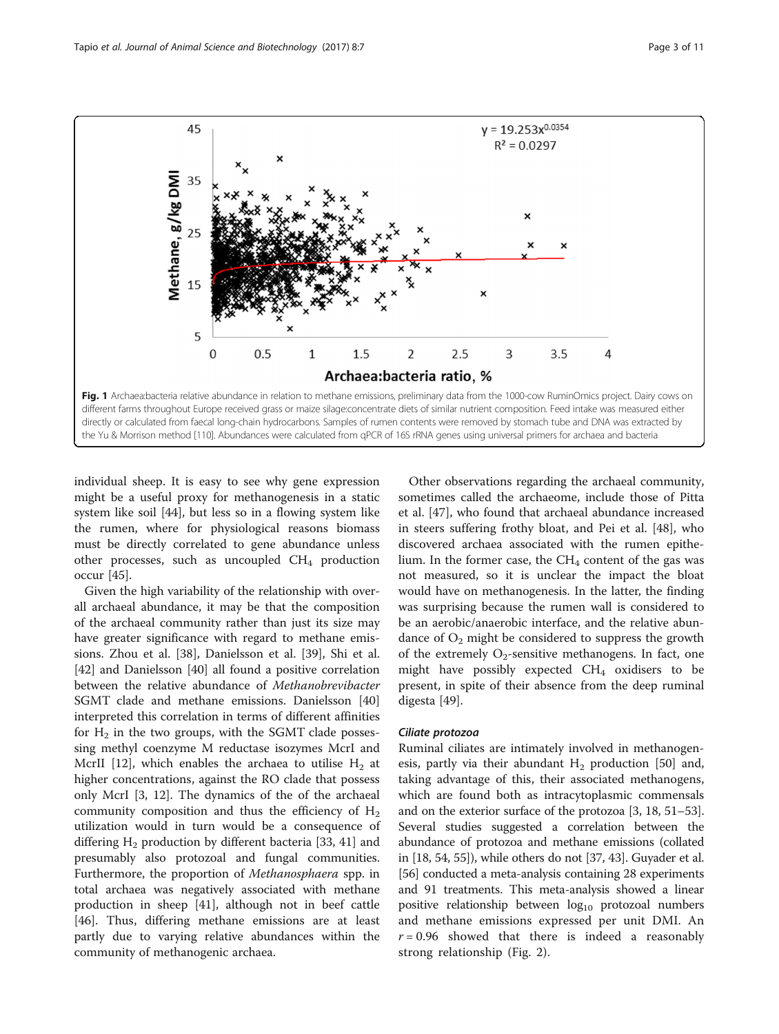<span id="page-2-0"></span>

individual sheep. It is easy to see why gene expression might be a useful proxy for methanogenesis in a static system like soil [\[44](#page-8-0)], but less so in a flowing system like the rumen, where for physiological reasons biomass must be directly correlated to gene abundance unless other processes, such as uncoupled  $CH<sub>4</sub>$  production occur [[45\]](#page-8-0).

Given the high variability of the relationship with overall archaeal abundance, it may be that the composition of the archaeal community rather than just its size may have greater significance with regard to methane emissions. Zhou et al. [[38\]](#page-8-0), Danielsson et al. [[39](#page-8-0)], Shi et al. [[42\]](#page-8-0) and Danielsson [\[40\]](#page-8-0) all found a positive correlation between the relative abundance of Methanobrevibacter SGMT clade and methane emissions. Danielsson [[40](#page-8-0)] interpreted this correlation in terms of different affinities for  $H_2$  in the two groups, with the SGMT clade possessing methyl coenzyme M reductase isozymes McrI and McrII [\[12](#page-8-0)], which enables the archaea to utilise  $H_2$  at higher concentrations, against the RO clade that possess only McrI [[3,](#page-7-0) [12\]](#page-8-0). The dynamics of the of the archaeal community composition and thus the efficiency of  $H_2$ utilization would in turn would be a consequence of differing  $H_2$  production by different bacteria [[33](#page-8-0), [41](#page-8-0)] and presumably also protozoal and fungal communities. Furthermore, the proportion of Methanosphaera spp. in total archaea was negatively associated with methane production in sheep [\[41\]](#page-8-0), although not in beef cattle [[46\]](#page-8-0). Thus, differing methane emissions are at least partly due to varying relative abundances within the community of methanogenic archaea.

Other observations regarding the archaeal community, sometimes called the archaeome, include those of Pitta et al. [[47\]](#page-8-0), who found that archaeal abundance increased in steers suffering frothy bloat, and Pei et al. [\[48\]](#page-8-0), who discovered archaea associated with the rumen epithelium. In the former case, the  $CH<sub>4</sub>$  content of the gas was not measured, so it is unclear the impact the bloat would have on methanogenesis. In the latter, the finding was surprising because the rumen wall is considered to be an aerobic/anaerobic interface, and the relative abundance of  $O_2$  might be considered to suppress the growth of the extremely  $O_2$ -sensitive methanogens. In fact, one might have possibly expected  $CH<sub>4</sub>$  oxidisers to be present, in spite of their absence from the deep ruminal digesta [\[49\]](#page-8-0).

# Ciliate protozoa

Ruminal ciliates are intimately involved in methanogenesis, partly via their abundant  $H_2$  production [\[50\]](#page-8-0) and, taking advantage of this, their associated methanogens, which are found both as intracytoplasmic commensals and on the exterior surface of the protozoa [[3,](#page-7-0) [18](#page-8-0), [51](#page-8-0)–[53](#page-8-0)]. Several studies suggested a correlation between the abundance of protozoa and methane emissions (collated in [\[18, 54](#page-8-0), [55\]](#page-9-0)), while others do not [\[37, 43](#page-8-0)]. Guyader et al. [[56](#page-9-0)] conducted a meta-analysis containing 28 experiments and 91 treatments. This meta-analysis showed a linear positive relationship between  $log_{10}$  protozoal numbers and methane emissions expressed per unit DMI. An  $r = 0.96$  showed that there is indeed a reasonably strong relationship (Fig. [2](#page-3-0)).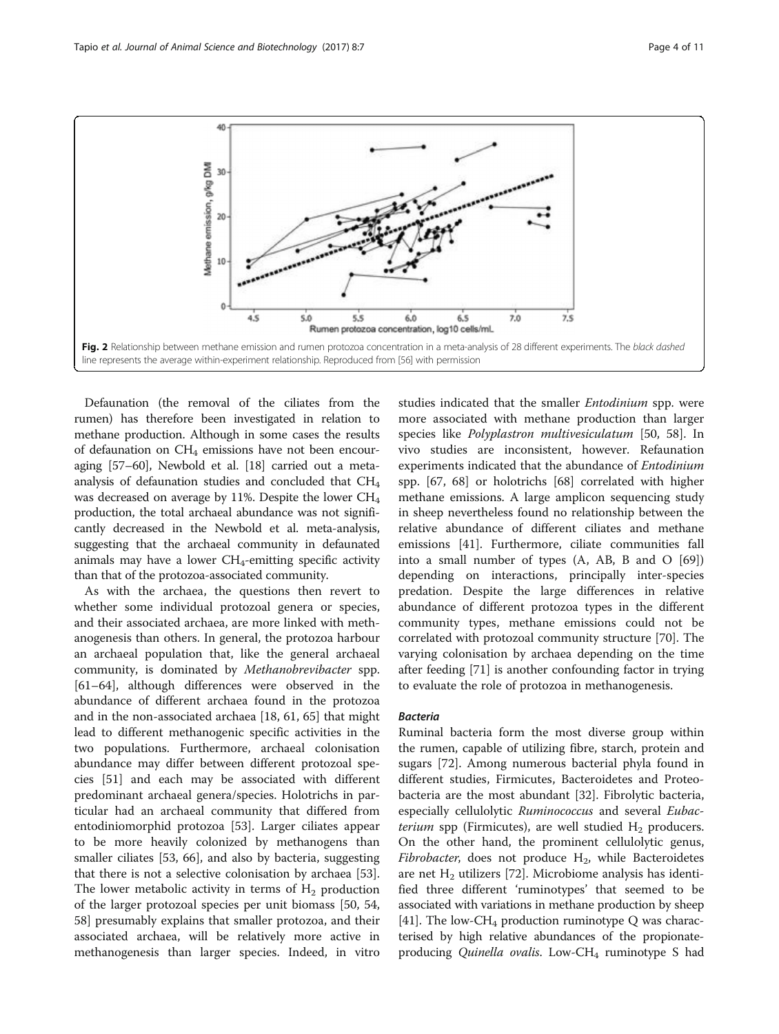<span id="page-3-0"></span>

Defaunation (the removal of the ciliates from the rumen) has therefore been investigated in relation to methane production. Although in some cases the results of defaunation on  $CH_4$  emissions have not been encouraging [[57](#page-9-0)–[60\]](#page-9-0), Newbold et al. [\[18\]](#page-8-0) carried out a metaanalysis of defaunation studies and concluded that  $CH<sub>4</sub>$ was decreased on average by 11%. Despite the lower CH<sub>4</sub> production, the total archaeal abundance was not significantly decreased in the Newbold et al. meta-analysis, suggesting that the archaeal community in defaunated animals may have a lower  $CH<sub>4</sub>$ -emitting specific activity than that of the protozoa-associated community.

As with the archaea, the questions then revert to whether some individual protozoal genera or species, and their associated archaea, are more linked with methanogenesis than others. In general, the protozoa harbour an archaeal population that, like the general archaeal community, is dominated by Methanobrevibacter spp. [[61](#page-9-0)–[64](#page-9-0)], although differences were observed in the abundance of different archaea found in the protozoa and in the non-associated archaea [\[18,](#page-8-0) [61, 65\]](#page-9-0) that might lead to different methanogenic specific activities in the two populations. Furthermore, archaeal colonisation abundance may differ between different protozoal species [\[51\]](#page-8-0) and each may be associated with different predominant archaeal genera/species. Holotrichs in particular had an archaeal community that differed from entodiniomorphid protozoa [[53](#page-8-0)]. Larger ciliates appear to be more heavily colonized by methanogens than smaller ciliates [\[53](#page-8-0), [66\]](#page-9-0), and also by bacteria, suggesting that there is not a selective colonisation by archaea [\[53](#page-8-0)]. The lower metabolic activity in terms of  $H_2$  production of the larger protozoal species per unit biomass [[50, 54](#page-8-0), [58\]](#page-9-0) presumably explains that smaller protozoa, and their associated archaea, will be relatively more active in methanogenesis than larger species. Indeed, in vitro

studies indicated that the smaller *Entodinium* spp. were more associated with methane production than larger species like Polyplastron multivesiculatum [[50](#page-8-0), [58\]](#page-9-0). In vivo studies are inconsistent, however. Refaunation experiments indicated that the abundance of Entodinium spp. [\[67, 68\]](#page-9-0) or holotrichs [\[68](#page-9-0)] correlated with higher methane emissions. A large amplicon sequencing study in sheep nevertheless found no relationship between the relative abundance of different ciliates and methane emissions [[41\]](#page-8-0). Furthermore, ciliate communities fall into a small number of types (A, AB, B and O [\[69](#page-9-0)]) depending on interactions, principally inter-species predation. Despite the large differences in relative abundance of different protozoa types in the different community types, methane emissions could not be correlated with protozoal community structure [\[70](#page-9-0)]. The varying colonisation by archaea depending on the time after feeding [\[71\]](#page-9-0) is another confounding factor in trying to evaluate the role of protozoa in methanogenesis.

# **Bacteria**

Ruminal bacteria form the most diverse group within the rumen, capable of utilizing fibre, starch, protein and sugars [[72\]](#page-9-0). Among numerous bacterial phyla found in different studies, Firmicutes, Bacteroidetes and Proteobacteria are the most abundant [[32\]](#page-8-0). Fibrolytic bacteria, especially cellulolytic Ruminococcus and several Eubac*terium* spp (Firmicutes), are well studied  $H_2$  producers. On the other hand, the prominent cellulolytic genus, Fibrobacter, does not produce  $H_2$ , while Bacteroidetes are net  $H_2$  utilizers [\[72\]](#page-9-0). Microbiome analysis has identified three different 'ruminotypes' that seemed to be associated with variations in methane production by sheep [[41](#page-8-0)]. The low-CH<sub>4</sub> production ruminotype Q was characterised by high relative abundances of the propionateproducing *Quinella ovalis*. Low-CH<sub>4</sub> ruminotype S had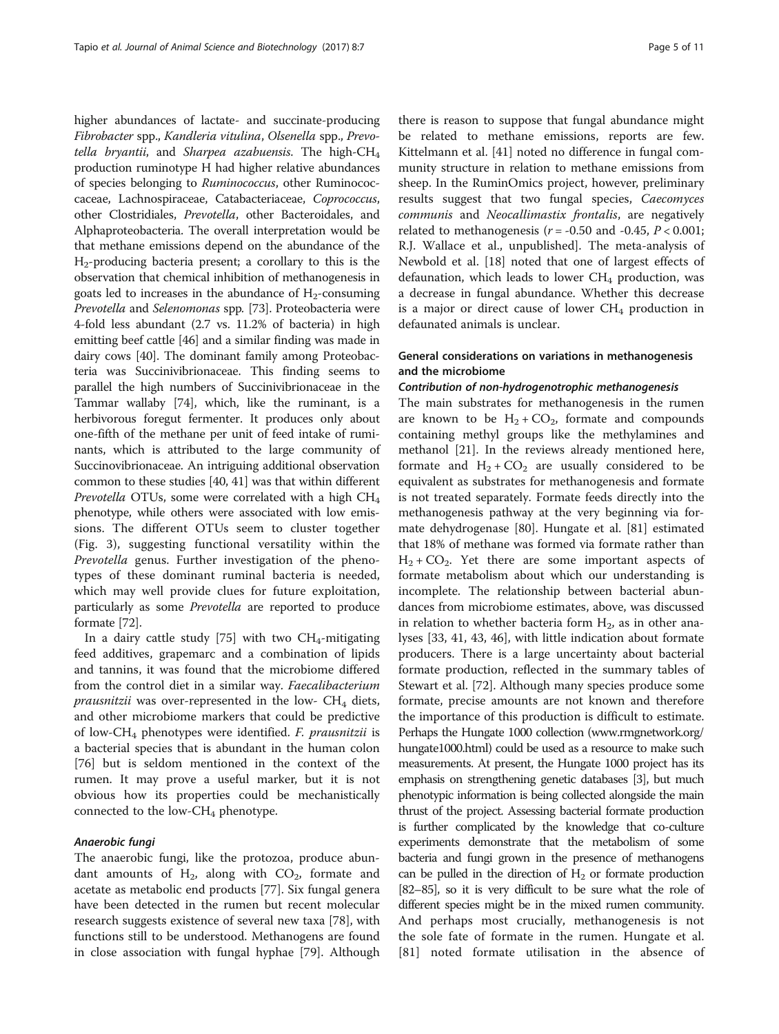higher abundances of lactate- and succinate-producing Fibrobacter spp., Kandleria vitulina, Olsenella spp., Prevotella bryantii, and Sharpea azabuensis. The high-CH<sub>4</sub> production ruminotype H had higher relative abundances of species belonging to Ruminococcus, other Ruminococcaceae, Lachnospiraceae, Catabacteriaceae, Coprococcus, other Clostridiales, Prevotella, other Bacteroidales, and Alphaproteobacteria. The overall interpretation would be that methane emissions depend on the abundance of the H2-producing bacteria present; a corollary to this is the observation that chemical inhibition of methanogenesis in goats led to increases in the abundance of  $H_2$ -consuming Prevotella and Selenomonas spp. [\[73\]](#page-9-0). Proteobacteria were 4-fold less abundant (2.7 vs. 11.2% of bacteria) in high emitting beef cattle [\[46](#page-8-0)] and a similar finding was made in dairy cows [[40\]](#page-8-0). The dominant family among Proteobacteria was Succinivibrionaceae. This finding seems to parallel the high numbers of Succinivibrionaceae in the Tammar wallaby [[74](#page-9-0)], which, like the ruminant, is a herbivorous foregut fermenter. It produces only about one-fifth of the methane per unit of feed intake of ruminants, which is attributed to the large community of Succinovibrionaceae. An intriguing additional observation common to these studies [[40](#page-8-0), [41\]](#page-8-0) was that within different Prevotella OTUs, some were correlated with a high  $CH<sub>4</sub>$ phenotype, while others were associated with low emissions. The different OTUs seem to cluster together (Fig. [3\)](#page-5-0), suggesting functional versatility within the Prevotella genus. Further investigation of the phenotypes of these dominant ruminal bacteria is needed, which may well provide clues for future exploitation, particularly as some Prevotella are reported to produce formate [[72](#page-9-0)].

In a dairy cattle study [[75\]](#page-9-0) with two  $CH<sub>4</sub>$ -mitigating feed additives, grapemarc and a combination of lipids and tannins, it was found that the microbiome differed from the control diet in a similar way. Faecalibacterium *prausnitzii* was over-represented in the low-  $CH<sub>4</sub>$  diets, and other microbiome markers that could be predictive of low-CH4 phenotypes were identified. F. prausnitzii is a bacterial species that is abundant in the human colon [[76\]](#page-9-0) but is seldom mentioned in the context of the rumen. It may prove a useful marker, but it is not obvious how its properties could be mechanistically connected to the low-CH<sub>4</sub> phenotype.

# Anaerobic fungi

The anaerobic fungi, like the protozoa, produce abundant amounts of  $H_2$ , along with  $CO_2$ , formate and acetate as metabolic end products [[77\]](#page-9-0). Six fungal genera have been detected in the rumen but recent molecular research suggests existence of several new taxa [[78](#page-9-0)], with functions still to be understood. Methanogens are found in close association with fungal hyphae [\[79](#page-9-0)]. Although

there is reason to suppose that fungal abundance might be related to methane emissions, reports are few. Kittelmann et al. [\[41](#page-8-0)] noted no difference in fungal community structure in relation to methane emissions from sheep. In the RuminOmics project, however, preliminary results suggest that two fungal species, Caecomyces communis and Neocallimastix frontalis, are negatively related to methanogenesis ( $r = -0.50$  and  $-0.45$ ,  $P < 0.001$ ; R.J. Wallace et al., unpublished]. The meta-analysis of Newbold et al. [[18](#page-8-0)] noted that one of largest effects of defaunation, which leads to lower  $CH<sub>4</sub>$  production, was a decrease in fungal abundance. Whether this decrease is a major or direct cause of lower  $CH<sub>4</sub>$  production in defaunated animals is unclear.

# General considerations on variations in methanogenesis and the microbiome

## Contribution of non-hydrogenotrophic methanogenesis

The main substrates for methanogenesis in the rumen are known to be  $H_2 + CO_2$ , formate and compounds containing methyl groups like the methylamines and methanol [\[21\]](#page-8-0). In the reviews already mentioned here, formate and  $H_2$  + CO<sub>2</sub> are usually considered to be equivalent as substrates for methanogenesis and formate is not treated separately. Formate feeds directly into the methanogenesis pathway at the very beginning via formate dehydrogenase [[80](#page-9-0)]. Hungate et al. [\[81](#page-9-0)] estimated that 18% of methane was formed via formate rather than  $H_2$  + CO<sub>2</sub>. Yet there are some important aspects of formate metabolism about which our understanding is incomplete. The relationship between bacterial abundances from microbiome estimates, above, was discussed in relation to whether bacteria form  $H<sub>2</sub>$ , as in other analyses [[33, 41, 43](#page-8-0), [46](#page-8-0)], with little indication about formate producers. There is a large uncertainty about bacterial formate production, reflected in the summary tables of Stewart et al. [\[72\]](#page-9-0). Although many species produce some formate, precise amounts are not known and therefore the importance of this production is difficult to estimate. Perhaps the Hungate 1000 collection [\(www.rmgnetwork.org/](http://www.rmgnetwork.org/hungate1000.html) [hungate1000.html](http://www.rmgnetwork.org/hungate1000.html)) could be used as a resource to make such measurements. At present, the Hungate 1000 project has its emphasis on strengthening genetic databases [\[3](#page-7-0)], but much phenotypic information is being collected alongside the main thrust of the project. Assessing bacterial formate production is further complicated by the knowledge that co-culture experiments demonstrate that the metabolism of some bacteria and fungi grown in the presence of methanogens can be pulled in the direction of  $H_2$  or formate production [[82](#page-9-0)–[85\]](#page-9-0), so it is very difficult to be sure what the role of different species might be in the mixed rumen community. And perhaps most crucially, methanogenesis is not the sole fate of formate in the rumen. Hungate et al. [[81](#page-9-0)] noted formate utilisation in the absence of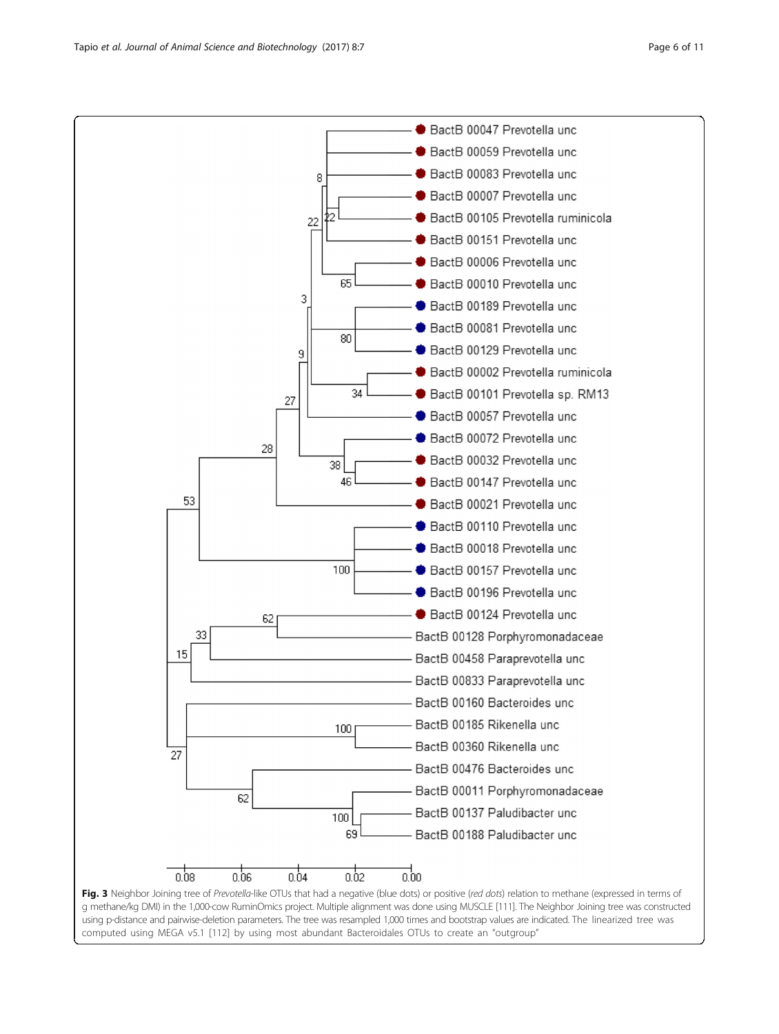using p-distance and pairwise-deletion parameters. The tree was resampled 1,000 times and bootstrap values are indicated. The linearized tree was computed using MEGA v5.1 [[112\]](#page-10-0) by using most abundant Bacteroidales OTUs to create an "outgroup"

<span id="page-5-0"></span>Tapio et al. Journal of Animal Science and Biotechnology (2017) 8:7 Page 6 of 11

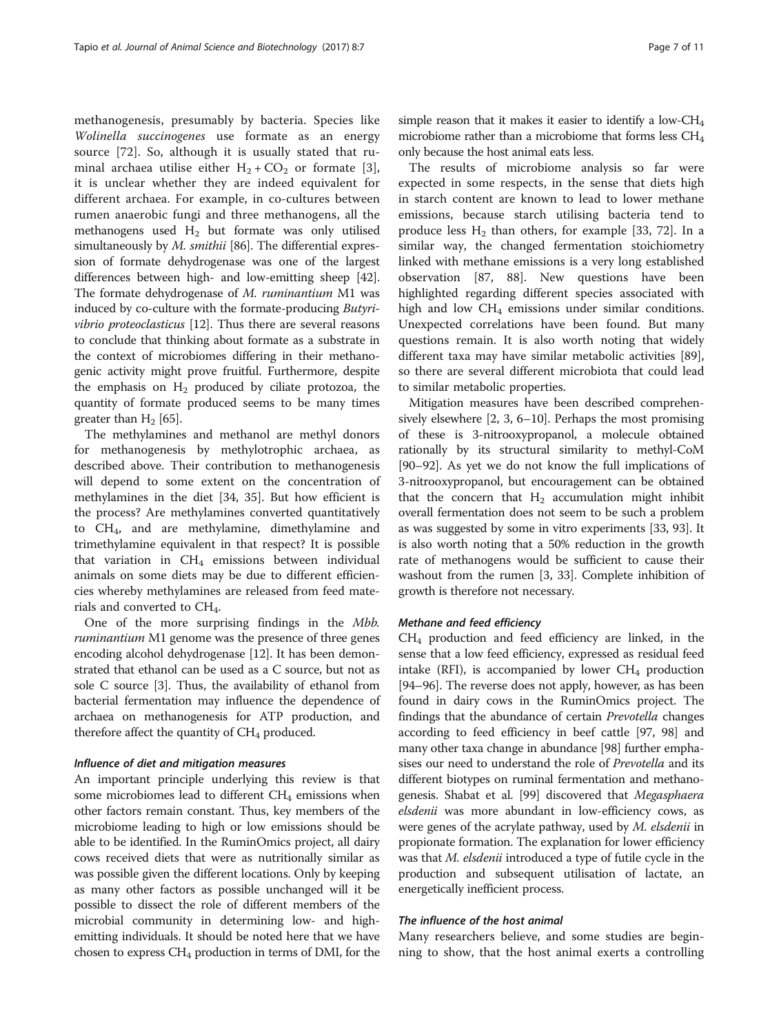methanogenesis, presumably by bacteria. Species like Wolinella succinogenes use formate as an energy source [[72](#page-9-0)]. So, although it is usually stated that ruminal archaea utilise either  $H_2$  + CO<sub>2</sub> or formate [\[3](#page-7-0)], it is unclear whether they are indeed equivalent for different archaea. For example, in co-cultures between rumen anaerobic fungi and three methanogens, all the methanogens used  $H_2$  but formate was only utilised simultaneously by *M. smithii* [[86](#page-9-0)]. The differential expression of formate dehydrogenase was one of the largest differences between high- and low-emitting sheep [[42](#page-8-0)]. The formate dehydrogenase of M. ruminantium M1 was induced by co-culture with the formate-producing *Butyri*vibrio proteoclasticus [[12](#page-8-0)]. Thus there are several reasons to conclude that thinking about formate as a substrate in the context of microbiomes differing in their methanogenic activity might prove fruitful. Furthermore, despite the emphasis on  $H_2$  produced by ciliate protozoa, the quantity of formate produced seems to be many times greater than  $H_2$  [\[65](#page-9-0)].

The methylamines and methanol are methyl donors for methanogenesis by methylotrophic archaea, as described above. Their contribution to methanogenesis will depend to some extent on the concentration of methylamines in the diet [[34](#page-8-0), [35\]](#page-8-0). But how efficient is the process? Are methylamines converted quantitatively to CH4, and are methylamine, dimethylamine and trimethylamine equivalent in that respect? It is possible that variation in  $CH_4$  emissions between individual animals on some diets may be due to different efficiencies whereby methylamines are released from feed materials and converted to  $CH<sub>4</sub>$ .

One of the more surprising findings in the Mbb. ruminantium M1 genome was the presence of three genes encoding alcohol dehydrogenase [[12](#page-8-0)]. It has been demonstrated that ethanol can be used as a C source, but not as sole C source [[3\]](#page-7-0). Thus, the availability of ethanol from bacterial fermentation may influence the dependence of archaea on methanogenesis for ATP production, and therefore affect the quantity of  $CH<sub>4</sub>$  produced.

#### Influence of diet and mitigation measures

An important principle underlying this review is that some microbiomes lead to different  $CH<sub>4</sub>$  emissions when other factors remain constant. Thus, key members of the microbiome leading to high or low emissions should be able to be identified. In the RuminOmics project, all dairy cows received diets that were as nutritionally similar as was possible given the different locations. Only by keeping as many other factors as possible unchanged will it be possible to dissect the role of different members of the microbial community in determining low- and highemitting individuals. It should be noted here that we have chosen to express  $CH_4$  production in terms of DMI, for the simple reason that it makes it easier to identify a low-CH<sub>4</sub> microbiome rather than a microbiome that forms less  $CH<sub>4</sub>$ only because the host animal eats less.

The results of microbiome analysis so far were expected in some respects, in the sense that diets high in starch content are known to lead to lower methane emissions, because starch utilising bacteria tend to produce less  $H_2$  than others, for example [\[33](#page-8-0), [72](#page-9-0)]. In a similar way, the changed fermentation stoichiometry linked with methane emissions is a very long established observation [[87](#page-9-0), [88](#page-9-0)]. New questions have been highlighted regarding different species associated with high and low  $CH_4$  emissions under similar conditions. Unexpected correlations have been found. But many questions remain. It is also worth noting that widely different taxa may have similar metabolic activities [\[89](#page-9-0)], so there are several different microbiota that could lead to similar metabolic properties.

Mitigation measures have been described comprehensively elsewhere [\[2, 3](#page-7-0), [6](#page-8-0)–[10\]](#page-8-0). Perhaps the most promising of these is 3-nitrooxypropanol, a molecule obtained rationally by its structural similarity to methyl-CoM [[90](#page-9-0)–[92\]](#page-9-0). As yet we do not know the full implications of 3-nitrooxypropanol, but encouragement can be obtained that the concern that  $H_2$  accumulation might inhibit overall fermentation does not seem to be such a problem as was suggested by some in vitro experiments [[33](#page-8-0), [93](#page-9-0)]. It is also worth noting that a 50% reduction in the growth rate of methanogens would be sufficient to cause their washout from the rumen [[3](#page-7-0), [33\]](#page-8-0). Complete inhibition of growth is therefore not necessary.

# Methane and feed efficiency

CH4 production and feed efficiency are linked, in the sense that a low feed efficiency, expressed as residual feed intake (RFI), is accompanied by lower  $CH<sub>4</sub>$  production [[94](#page-9-0)–[96\]](#page-9-0). The reverse does not apply, however, as has been found in dairy cows in the RuminOmics project. The findings that the abundance of certain Prevotella changes according to feed efficiency in beef cattle [\[97, 98\]](#page-9-0) and many other taxa change in abundance [\[98\]](#page-9-0) further emphasises our need to understand the role of Prevotella and its different biotypes on ruminal fermentation and methanogenesis. Shabat et al. [\[99\]](#page-9-0) discovered that Megasphaera elsdenii was more abundant in low-efficiency cows, as were genes of the acrylate pathway, used by *M. elsdenii* in propionate formation. The explanation for lower efficiency was that *M. elsdenii* introduced a type of futile cycle in the production and subsequent utilisation of lactate, an energetically inefficient process.

# The influence of the host animal

Many researchers believe, and some studies are beginning to show, that the host animal exerts a controlling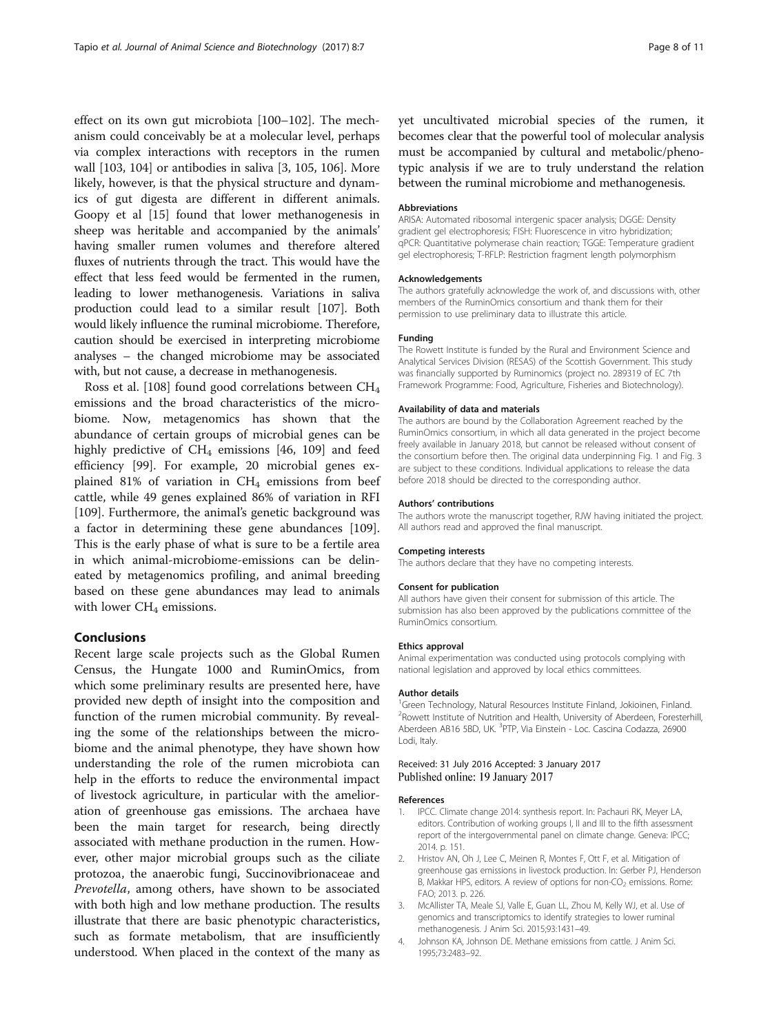<span id="page-7-0"></span>effect on its own gut microbiota [\[100](#page-10-0)–[102](#page-10-0)]. The mechanism could conceivably be at a molecular level, perhaps via complex interactions with receptors in the rumen wall [\[103, 104\]](#page-10-0) or antibodies in saliva [3, [105](#page-10-0), [106\]](#page-10-0). More likely, however, is that the physical structure and dynamics of gut digesta are different in different animals. Goopy et al [[15](#page-8-0)] found that lower methanogenesis in sheep was heritable and accompanied by the animals' having smaller rumen volumes and therefore altered fluxes of nutrients through the tract. This would have the effect that less feed would be fermented in the rumen, leading to lower methanogenesis. Variations in saliva production could lead to a similar result [[107](#page-10-0)]. Both would likely influence the ruminal microbiome. Therefore, caution should be exercised in interpreting microbiome analyses – the changed microbiome may be associated with, but not cause, a decrease in methanogenesis.

Ross et al. [[108\]](#page-10-0) found good correlations between CH4 emissions and the broad characteristics of the microbiome. Now, metagenomics has shown that the abundance of certain groups of microbial genes can be highly predictive of  $CH_4$  emissions [\[46](#page-8-0), [109\]](#page-10-0) and feed efficiency [\[99](#page-9-0)]. For example, 20 microbial genes explained 81% of variation in  $CH<sub>4</sub>$  emissions from beef cattle, while 49 genes explained 86% of variation in RFI [[109\]](#page-10-0). Furthermore, the animal's genetic background was a factor in determining these gene abundances [\[109](#page-10-0)]. This is the early phase of what is sure to be a fertile area in which animal-microbiome-emissions can be delineated by metagenomics profiling, and animal breeding based on these gene abundances may lead to animals with lower  $CH<sub>4</sub>$  emissions.

# Conclusions

Recent large scale projects such as the Global Rumen Census, the Hungate 1000 and RuminOmics, from which some preliminary results are presented here, have provided new depth of insight into the composition and function of the rumen microbial community. By revealing the some of the relationships between the microbiome and the animal phenotype, they have shown how understanding the role of the rumen microbiota can help in the efforts to reduce the environmental impact of livestock agriculture, in particular with the amelioration of greenhouse gas emissions. The archaea have been the main target for research, being directly associated with methane production in the rumen. However, other major microbial groups such as the ciliate protozoa, the anaerobic fungi, Succinovibrionaceae and Prevotella, among others, have shown to be associated with both high and low methane production. The results illustrate that there are basic phenotypic characteristics, such as formate metabolism, that are insufficiently understood. When placed in the context of the many as yet uncultivated microbial species of the rumen, it becomes clear that the powerful tool of molecular analysis must be accompanied by cultural and metabolic/phenotypic analysis if we are to truly understand the relation between the ruminal microbiome and methanogenesis.

#### Abbreviations

ARISA: Automated ribosomal intergenic spacer analysis; DGGE: Density gradient gel electrophoresis; FISH: Fluorescence in vitro hybridization; qPCR: Quantitative polymerase chain reaction; TGGE: Temperature gradient gel electrophoresis; T-RFLP: Restriction fragment length polymorphism

#### Acknowledgements

The authors gratefully acknowledge the work of, and discussions with, other members of the RuminOmics consortium and thank them for their permission to use preliminary data to illustrate this article.

#### Funding

The Rowett Institute is funded by the Rural and Environment Science and Analytical Services Division (RESAS) of the Scottish Government. This study was financially supported by Ruminomics (project no. 289319 of EC 7th Framework Programme: Food, Agriculture, Fisheries and Biotechnology).

#### Availability of data and materials

The authors are bound by the Collaboration Agreement reached by the RuminOmics consortium, in which all data generated in the project become freely available in January 2018, but cannot be released without consent of the consortium before then. The original data underpinning Fig. [1](#page-2-0) and Fig. [3](#page-5-0) are subject to these conditions. Individual applications to release the data before 2018 should be directed to the corresponding author.

#### Authors' contributions

The authors wrote the manuscript together, RJW having initiated the project. All authors read and approved the final manuscript.

### Competing interests

The authors declare that they have no competing interests.

#### Consent for publication

All authors have given their consent for submission of this article. The submission has also been approved by the publications committee of the RuminOmics consortium.

#### Ethics approval

Animal experimentation was conducted using protocols complying with national legislation and approved by local ethics committees.

#### Author details

<sup>1</sup>Green Technology, Natural Resources Institute Finland, Jokioinen, Finland. <sup>2</sup> Rowett Institute of Nutrition and Health, University of Aberdeen, Foresterhill Aberdeen AB16 5BD, UK. <sup>3</sup>PTP, Via Einstein - Loc. Cascina Codazza, 26900 Lodi, Italy.

#### Received: 31 July 2016 Accepted: 3 January 2017 Published online: 19 January 2017

#### References

- 1. IPCC. Climate change 2014: synthesis report. In: Pachauri RK, Meyer LA, editors. Contribution of working groups I, II and III to the fifth assessment report of the intergovernmental panel on climate change. Geneva: IPCC; 2014. p. 151.
- 2. Hristov AN, Oh J, Lee C, Meinen R, Montes F, Ott F, et al. Mitigation of greenhouse gas emissions in livestock production. In: Gerber PJ, Henderson B, Makkar HPS, editors. A review of options for non-CO<sub>2</sub> emissions. Rome: FAO; 2013. p. 226.
- 3. McAllister TA, Meale SJ, Valle E, Guan LL, Zhou M, Kelly WJ, et al. Use of genomics and transcriptomics to identify strategies to lower ruminal methanogenesis. J Anim Sci. 2015;93:1431–49.
- 4. Johnson KA, Johnson DE. Methane emissions from cattle. J Anim Sci. 1995;73:2483–92.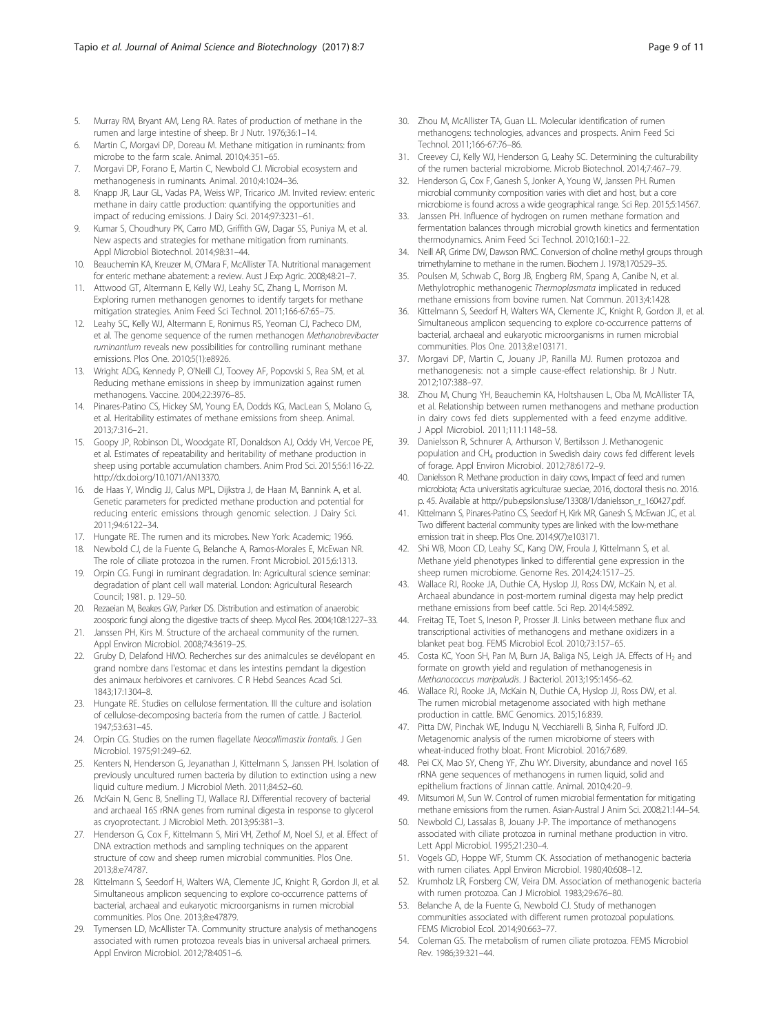- <span id="page-8-0"></span>5. Murray RM, Bryant AM, Leng RA. Rates of production of methane in the rumen and large intestine of sheep. Br J Nutr. 1976;36:1–14.
- 6. Martin C, Morgavi DP, Doreau M. Methane mitigation in ruminants: from microbe to the farm scale. Animal. 2010;4:351–65.
- 7. Morgavi DP, Forano E, Martin C, Newbold CJ. Microbial ecosystem and methanogenesis in ruminants. Animal. 2010;4:1024–36.
- 8. Knapp JR, Laur GL, Vadas PA, Weiss WP, Tricarico JM. Invited review: enteric methane in dairy cattle production: quantifying the opportunities and impact of reducing emissions. J Dairy Sci. 2014;97:3231–61.
- 9. Kumar S, Choudhury PK, Carro MD, Griffith GW, Dagar SS, Puniya M, et al. New aspects and strategies for methane mitigation from ruminants. Appl Microbiol Biotechnol. 2014;98:31–44.
- 10. Beauchemin KA, Kreuzer M, O'Mara F, McAllister TA. Nutritional management for enteric methane abatement: a review. Aust J Exp Agric. 2008;48:21–7.
- 11. Attwood GT, Altermann E, Kelly WJ, Leahy SC, Zhang L, Morrison M. Exploring rumen methanogen genomes to identify targets for methane mitigation strategies. Anim Feed Sci Technol. 2011;166-67:65–75.
- 12. Leahy SC, Kelly WJ, Altermann E, Ronimus RS, Yeoman CJ, Pacheco DM, et al. The genome sequence of the rumen methanogen Methanobrevibacter ruminantium reveals new possibilities for controlling ruminant methane emissions. Plos One. 2010;5(1):e8926.
- 13. Wright ADG, Kennedy P, O'Neill CJ, Toovey AF, Popovski S, Rea SM, et al. Reducing methane emissions in sheep by immunization against rumen methanogens. Vaccine. 2004;22:3976–85.
- 14. Pinares-Patino CS, Hickey SM, Young EA, Dodds KG, MacLean S, Molano G, et al. Heritability estimates of methane emissions from sheep. Animal. 2013;7:316–21.
- 15. Goopy JP, Robinson DL, Woodgate RT, Donaldson AJ, Oddy VH, Vercoe PE, et al. Estimates of repeatability and heritability of methane production in sheep using portable accumulation chambers. Anim Prod Sci. 2015;56:116-22. <http://dx.doi.org/10.1071/AN13370>.
- 16. de Haas Y, Windig JJ, Calus MPL, Dijkstra J, de Haan M, Bannink A, et al. Genetic parameters for predicted methane production and potential for reducing enteric emissions through genomic selection. J Dairy Sci. 2011;94:6122–34.
- 17. Hungate RE. The rumen and its microbes. New York: Academic; 1966.
- 18. Newbold CJ, de la Fuente G, Belanche A, Ramos-Morales E, McEwan NR. The role of ciliate protozoa in the rumen. Front Microbiol. 2015;6:1313.
- 19. Orpin CG. Fungi in ruminant degradation. In: Agricultural science seminar: degradation of plant cell wall material. London: Agricultural Research Council; 1981. p. 129–50.
- 20. Rezaeian M, Beakes GW, Parker DS. Distribution and estimation of anaerobic zoosporic fungi along the digestive tracts of sheep. Mycol Res. 2004;108:1227–33.
- 21. Janssen PH, Kirs M. Structure of the archaeal community of the rumen. Appl Environ Microbiol. 2008;74:3619–25.
- 22. Gruby D, Delafond HMO. Recherches sur des animalcules se devélopant en grand nombre dans l'estomac et dans les intestins pemdant la digestion des animaux herbivores et carnivores. C R Hebd Seances Acad Sci. 1843;17:1304–8.
- 23. Hungate RE. Studies on cellulose fermentation. III the culture and isolation of cellulose-decomposing bacteria from the rumen of cattle. J Bacteriol. 1947;53:631–45.
- 24. Orpin CG. Studies on the rumen flagellate Neocallimastix frontalis. J Gen Microbiol. 1975;91:249–62.
- 25. Kenters N, Henderson G, Jeyanathan J, Kittelmann S, Janssen PH. Isolation of previously uncultured rumen bacteria by dilution to extinction using a new liquid culture medium. J Microbiol Meth. 2011;84:52–60.
- 26. McKain N, Genc B, Snelling TJ, Wallace RJ. Differential recovery of bacterial and archaeal 16S rRNA genes from ruminal digesta in response to glycerol as cryoprotectant. J Microbiol Meth. 2013;95:381–3.
- 27. Henderson G, Cox F, Kittelmann S, Miri VH, Zethof M, Noel SJ, et al. Effect of DNA extraction methods and sampling techniques on the apparent structure of cow and sheep rumen microbial communities. Plos One. 2013;8:e74787.
- 28. Kittelmann S, Seedorf H, Walters WA, Clemente JC, Knight R, Gordon JI, et al. Simultaneous amplicon sequencing to explore co-occurrence patterns of bacterial, archaeal and eukaryotic microorganisms in rumen microbial communities. Plos One. 2013;8:e47879.
- 29. Tymensen LD, McAllister TA. Community structure analysis of methanogens associated with rumen protozoa reveals bias in universal archaeal primers. Appl Environ Microbiol. 2012;78:4051–6.
- 30. Zhou M, McAllister TA, Guan LL. Molecular identification of rumen methanogens: technologies, advances and prospects. Anim Feed Sci Technol. 2011;166-67:76–86.
- 31. Creevey CJ, Kelly WJ, Henderson G, Leahy SC. Determining the culturability of the rumen bacterial microbiome. Microb Biotechnol. 2014;7:467–79.
- 32. Henderson G, Cox F, Ganesh S, Jonker A, Young W, Janssen PH. Rumen microbial community composition varies with diet and host, but a core microbiome is found across a wide geographical range. Sci Rep. 2015;5:14567.
- 33. Janssen PH. Influence of hydrogen on rumen methane formation and fermentation balances through microbial growth kinetics and fermentation thermodynamics. Anim Feed Sci Technol. 2010;160:1–22.
- 34. Neill AR, Grime DW, Dawson RMC. Conversion of choline methyl groups through trimethylamine to methane in the rumen. Biochem J. 1978;170:529–35.
- 35. Poulsen M, Schwab C, Borg JB, Engberg RM, Spang A, Canibe N, et al. Methylotrophic methanogenic Thermoplasmata implicated in reduced methane emissions from bovine rumen. Nat Commun. 2013;4:1428.
- 36. Kittelmann S, Seedorf H, Walters WA, Clemente JC, Knight R, Gordon JI, et al. Simultaneous amplicon sequencing to explore co-occurrence patterns of bacterial, archaeal and eukaryotic microorganisms in rumen microbial communities. Plos One. 2013;8:e103171.
- 37. Morgavi DP, Martin C, Jouany JP, Ranilla MJ. Rumen protozoa and methanogenesis: not a simple cause-effect relationship. Br J Nutr. 2012;107:388–97.
- 38. Zhou M, Chung YH, Beauchemin KA, Holtshausen L, Oba M, McAllister TA, et al. Relationship between rumen methanogens and methane production in dairy cows fed diets supplemented with a feed enzyme additive. J Appl Microbiol. 2011;111:1148–58.
- 39. Danielsson R, Schnurer A, Arthurson V, Bertilsson J. Methanogenic population and CH<sub>4</sub> production in Swedish dairy cows fed different levels of forage. Appl Environ Microbiol. 2012;78:6172–9.
- 40. Danielsson R. Methane production in dairy cows, Impact of feed and rumen microbiota; Acta universitatis agriculturae sueciae, 2016, doctoral thesis no. 2016. p. 45. Available at http://pub.epsilon.slu.se/13308/1/danielsson\_r\_160427.pdf.
- 41. Kittelmann S, Pinares-Patino CS, Seedorf H, Kirk MR, Ganesh S, McEwan JC, et al. Two different bacterial community types are linked with the low-methane emission trait in sheep. Plos One. 2014;9(7):e103171.
- 42. Shi WB, Moon CD, Leahy SC, Kang DW, Froula J, Kittelmann S, et al. Methane yield phenotypes linked to differential gene expression in the sheep rumen microbiome. Genome Res. 2014;24:1517–25.
- 43. Wallace RJ, Rooke JA, Duthie CA, Hyslop JJ, Ross DW, McKain N, et al. Archaeal abundance in post-mortem ruminal digesta may help predict methane emissions from beef cattle. Sci Rep. 2014;4:5892.
- Freitag TE, Toet S, Ineson P, Prosser JI. Links between methane flux and transcriptional activities of methanogens and methane oxidizers in a blanket peat bog. FEMS Microbiol Ecol. 2010;73:157–65.
- 45. Costa KC, Yoon SH, Pan M, Burn JA, Baliga NS, Leigh JA. Effects of H<sub>2</sub> and formate on growth yield and regulation of methanogenesis in Methanococcus maripaludis. J Bacteriol. 2013;195:1456–62.
- 46. Wallace RJ, Rooke JA, McKain N, Duthie CA, Hyslop JJ, Ross DW, et al. The rumen microbial metagenome associated with high methane production in cattle. BMC Genomics. 2015;16:839.
- 47. Pitta DW, Pinchak WE, Indugu N, Vecchiarelli B, Sinha R, Fulford JD. Metagenomic analysis of the rumen microbiome of steers with wheat-induced frothy bloat. Front Microbiol. 2016;7:689.
- 48. Pei CX, Mao SY, Cheng YF, Zhu WY. Diversity, abundance and novel 16S rRNA gene sequences of methanogens in rumen liquid, solid and epithelium fractions of Jinnan cattle. Animal. 2010;4:20–9.
- 49. Mitsumori M, Sun W. Control of rumen microbial fermentation for mitigating methane emissions from the rumen. Asian-Austral J Anim Sci. 2008;21:144–54.
- 50. Newbold CJ, Lassalas B, Jouany J-P. The importance of methanogens associated with ciliate protozoa in ruminal methane production in vitro. Lett Appl Microbiol. 1995;21:230–4.
- 51. Vogels GD, Hoppe WF, Stumm CK. Association of methanogenic bacteria with rumen ciliates. Appl Environ Microbiol. 1980;40:608–12.
- 52. Krumholz LR, Forsberg CW, Veira DM. Association of methanogenic bacteria with rumen protozoa. Can J Microbiol. 1983;29:676–80.
- 53. Belanche A, de la Fuente G, Newbold CJ. Study of methanogen communities associated with different rumen protozoal populations. FEMS Microbiol Ecol. 2014;90:663–77.
- 54. Coleman GS. The metabolism of rumen ciliate protozoa. FEMS Microbiol Rev. 1986;39:321–44.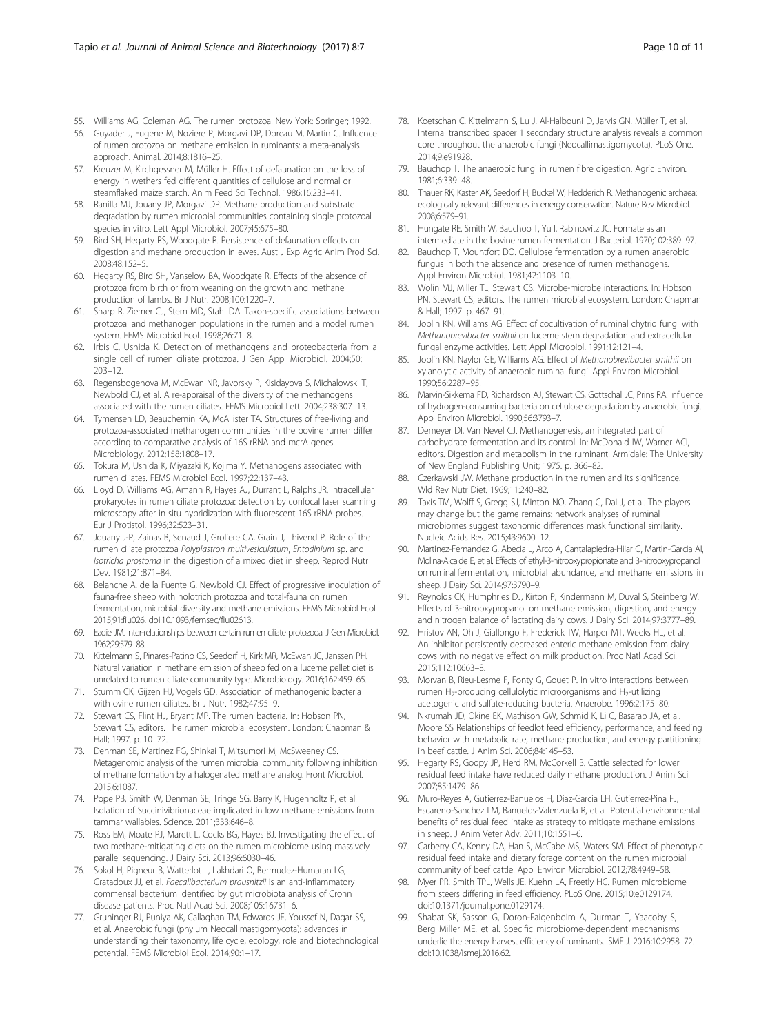- <span id="page-9-0"></span>55. Williams AG, Coleman AG. The rumen protozoa. New York: Springer; 1992.
- 56. Guyader J, Eugene M, Noziere P, Morgavi DP, Doreau M, Martin C. Influence of rumen protozoa on methane emission in ruminants: a meta-analysis approach. Animal. 2014;8:1816–25.
- 57. Kreuzer M, Kirchgessner M, Müller H. Effect of defaunation on the loss of energy in wethers fed different quantities of cellulose and normal or steamflaked maize starch. Anim Feed Sci Technol. 1986;16:233–41.
- 58. Ranilla MJ, Jouany JP, Morgavi DP. Methane production and substrate degradation by rumen microbial communities containing single protozoal species in vitro. Lett Appl Microbiol. 2007;45:675–80.
- 59. Bird SH, Hegarty RS, Woodgate R. Persistence of defaunation effects on digestion and methane production in ewes. Aust J Exp Agric Anim Prod Sci. 2008;48:152–5.
- 60. Hegarty RS, Bird SH, Vanselow BA, Woodgate R. Effects of the absence of protozoa from birth or from weaning on the growth and methane production of lambs. Br J Nutr. 2008;100:1220–7.
- 61. Sharp R, Ziemer CJ, Stern MD, Stahl DA. Taxon-specific associations between protozoal and methanogen populations in the rumen and a model rumen system. FEMS Microbiol Ecol. 1998;26:71–8.
- 62. Irbis C, Ushida K. Detection of methanogens and proteobacteria from a single cell of rumen ciliate protozoa. J Gen Appl Microbiol. 2004;50: 203–12.
- 63. Regensbogenova M, McEwan NR, Javorsky P, Kisidayova S, Michalowski T, Newbold CJ, et al. A re-appraisal of the diversity of the methanogens associated with the rumen ciliates. FEMS Microbiol Lett. 2004;238:307–13.
- 64. Tymensen LD, Beauchemin KA, McAllister TA. Structures of free-living and protozoa-associated methanogen communities in the bovine rumen differ according to comparative analysis of 16S rRNA and mcrA genes. Microbiology. 2012;158:1808–17.
- 65. Tokura M, Ushida K, Miyazaki K, Kojima Y. Methanogens associated with rumen ciliates. FEMS Microbiol Ecol. 1997;22:137–43.
- 66. Lloyd D, Williams AG, Amann R, Hayes AJ, Durrant L, Ralphs JR. Intracellular prokaryotes in rumen ciliate protozoa: detection by confocal laser scanning microscopy after in situ hybridization with fluorescent 16S rRNA probes. Eur J Protistol. 1996;32:523–31.
- 67. Jouany J-P, Zainas B, Senaud J, Groliere CA, Grain J, Thivend P. Role of the rumen ciliate protozoa Polyplastron multivesiculatum, Entodinium sp. and Isotricha prostoma in the digestion of a mixed diet in sheep. Reprod Nutr Dev. 1981;21:871–84.
- 68. Belanche A, de la Fuente G, Newbold CJ. Effect of progressive inoculation of fauna-free sheep with holotrich protozoa and total-fauna on rumen fermentation, microbial diversity and methane emissions. FEMS Microbiol Ecol. 2015;91:fiu026. doi:[10.1093/femsec/fiu02613](http://dx.doi.org/10.1093/femsec/fiu02613).
- 69. Eadie JM. Inter-relationships between certain rumen ciliate protozooa. J Gen Microbiol. 1962;29:579–88.
- 70. Kittelmann S, Pinares-Patino CS, Seedorf H, Kirk MR, McEwan JC, Janssen PH. Natural variation in methane emission of sheep fed on a lucerne pellet diet is unrelated to rumen ciliate community type. Microbiology. 2016;162:459–65.
- 71. Stumm CK, Gijzen HJ, Vogels GD. Association of methanogenic bacteria with ovine rumen ciliates. Br J Nutr. 1982;47:95–9.
- 72. Stewart CS, Flint HJ, Bryant MP. The rumen bacteria. In: Hobson PN, Stewart CS, editors. The rumen microbial ecosystem. London: Chapman & Hall; 1997. p. 10–72.
- 73. Denman SE, Martinez FG, Shinkai T, Mitsumori M, McSweeney CS. Metagenomic analysis of the rumen microbial community following inhibition of methane formation by a halogenated methane analog. Front Microbiol. 2015;6:1087.
- 74. Pope PB, Smith W, Denman SE, Tringe SG, Barry K, Hugenholtz P, et al. Isolation of Succinivibrionaceae implicated in low methane emissions from tammar wallabies. Science. 2011;333:646–8.
- 75. Ross EM, Moate PJ, Marett L, Cocks BG, Hayes BJ. Investigating the effect of two methane-mitigating diets on the rumen microbiome using massively parallel sequencing. J Dairy Sci. 2013;96:6030–46.
- 76. Sokol H, Pigneur B, Watterlot L, Lakhdari O, Bermudez-Humaran LG, Gratadoux JJ, et al. Faecalibacterium prausnitzii is an anti-inflammatory commensal bacterium identified by gut microbiota analysis of Crohn disease patients. Proc Natl Acad Sci. 2008;105:16731–6.
- 77. Gruninger RJ, Puniya AK, Callaghan TM, Edwards JE, Youssef N, Dagar SS, et al. Anaerobic fungi (phylum Neocallimastigomycota): advances in understanding their taxonomy, life cycle, ecology, role and biotechnological potential. FEMS Microbiol Ecol. 2014;90:1–17.
- 78. Koetschan C, Kittelmann S, Lu J, Al-Halbouni D, Jarvis GN, Müller T, et al. Internal transcribed spacer 1 secondary structure analysis reveals a common core throughout the anaerobic fungi (Neocallimastigomycota). PLoS One. 2014;9:e91928.
- 79. Bauchop T. The anaerobic fungi in rumen fibre digestion. Agric Environ. 1981;6:339–48.
- 80. Thauer RK, Kaster AK, Seedorf H, Buckel W, Hedderich R. Methanogenic archaea: ecologically relevant differences in energy conservation. Nature Rev Microbiol. 2008;6:579–91.
- 81. Hungate RE, Smith W, Bauchop T, Yu I, Rabinowitz JC. Formate as an intermediate in the bovine rumen fermentation. J Bacteriol. 1970;102:389–97.
- 82. Bauchop T, Mountfort DO. Cellulose fermentation by a rumen anaerobic fungus in both the absence and presence of rumen methanogens. Appl Environ Microbiol. 1981;42:1103–10.
- 83. Wolin MJ, Miller TL, Stewart CS. Microbe-microbe interactions. In: Hobson PN, Stewart CS, editors. The rumen microbial ecosystem. London: Chapman & Hall; 1997. p. 467–91.
- 84. Joblin KN, Williams AG. Effect of cocultivation of ruminal chytrid fungi with Methanobrevibacter smithii on lucerne stem degradation and extracellular fungal enzyme activities. Lett Appl Microbiol. 1991;12:121–4.
- 85. Joblin KN, Naylor GE, Williams AG. Effect of Methanobrevibacter smithii on xylanolytic activity of anaerobic ruminal fungi. Appl Environ Microbiol. 1990;56:2287–95.
- 86. Marvin-Sikkema FD, Richardson AJ, Stewart CS, Gottschal JC, Prins RA. Influence of hydrogen-consuming bacteria on cellulose degradation by anaerobic fungi. Appl Environ Microbiol. 1990;56:3793–7.
- 87. Demeyer DI, Van Nevel CJ. Methanogenesis, an integrated part of carbohydrate fermentation and its control. In: McDonald IW, Warner ACI, editors. Digestion and metabolism in the ruminant. Armidale: The University of New England Publishing Unit; 1975. p. 366–82.
- 88. Czerkawski JW. Methane production in the rumen and its significance. Wld Rev Nutr Diet. 1969;11:240–82.
- 89. Taxis TM, Wolff S, Gregg SJ, Minton NO, Zhang C, Dai J, et al. The players may change but the game remains: network analyses of ruminal microbiomes suggest taxonomic differences mask functional similarity. Nucleic Acids Res. 2015;43:9600–12.
- 90. Martinez-Fernandez G, Abecia L, Arco A, Cantalapiedra-Hijar G, Martin-Garcia AI, Molina-Alcaide E, et al. Effects of ethyl-3-nitrooxypropionate and 3-nitrooxypropanol on ruminal fermentation, microbial abundance, and methane emissions in sheep. J Dairy Sci. 2014;97:3790–9.
- 91. Reynolds CK, Humphries DJ, Kirton P, Kindermann M, Duval S, Steinberg W. Effects of 3-nitrooxypropanol on methane emission, digestion, and energy and nitrogen balance of lactating dairy cows. J Dairy Sci. 2014;97:3777–89.
- 92. Hristov AN, Oh J, Giallongo F, Frederick TW, Harper MT, Weeks HL, et al. An inhibitor persistently decreased enteric methane emission from dairy cows with no negative effect on milk production. Proc Natl Acad Sci. 2015;112:10663–8.
- 93. Morvan B, Rieu-Lesme F, Fonty G, Gouet P. In vitro interactions between rumen  $H_2$ -producing cellulolytic microorganisms and  $H_2$ -utilizing acetogenic and sulfate-reducing bacteria. Anaerobe. 1996;2:175–80.
- 94. Nkrumah JD, Okine EK, Mathison GW, Schmid K, Li C, Basarab JA, et al. Moore SS Relationships of feedlot feed efficiency, performance, and feeding behavior with metabolic rate, methane production, and energy partitioning in beef cattle. J Anim Sci. 2006;84:145–53.
- 95. Hegarty RS, Goopy JP, Herd RM, McCorkell B. Cattle selected for lower residual feed intake have reduced daily methane production. J Anim Sci. 2007;85:1479–86.
- 96. Muro-Reyes A, Gutierrez-Banuelos H, Diaz-Garcia LH, Gutierrez-Pina FJ, Escareno-Sanchez LM, Banuelos-Valenzuela R, et al. Potential environmental benefits of residual feed intake as strategy to mitigate methane emissions in sheep. J Anim Veter Adv. 2011;10:1551–6.
- 97. Carberry CA, Kenny DA, Han S, McCabe MS, Waters SM. Effect of phenotypic residual feed intake and dietary forage content on the rumen microbial community of beef cattle. Appl Environ Microbiol. 2012;78:4949–58.
- Myer PR, Smith TPL, Wells JE, Kuehn LA, Freetly HC. Rumen microbiome from steers differing in feed efficiency. PLoS One. 2015;10:e0129174. doi[:10.1371/journal.pone.0129174.](http://dx.doi.org/10.1371/journal.pone.0129174)
- 99. Shabat SK, Sasson G, Doron-Faigenboim A, Durman T, Yaacoby S, Berg Miller ME, et al. Specific microbiome-dependent mechanisms underlie the energy harvest efficiency of ruminants. ISME J. 2016;10:2958–72. doi:[10.1038/ismej.2016.62](http://dx.doi.org/10.1038/ismej.2016.62).